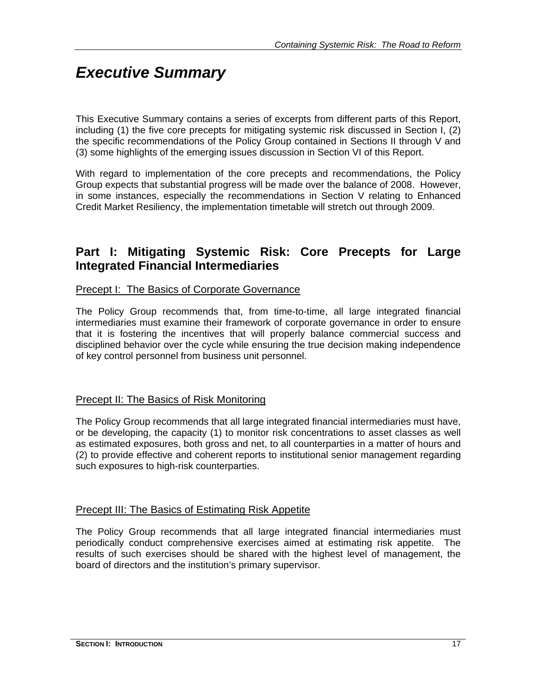# *Executive Summary*

This Executive Summary contains a series of excerpts from different parts of this Report, including (1) the five core precepts for mitigating systemic risk discussed in Section I, (2) the specific recommendations of the Policy Group contained in Sections II through V and (3) some highlights of the emerging issues discussion in Section VI of this Report.

With regard to implementation of the core precepts and recommendations, the Policy Group expects that substantial progress will be made over the balance of 2008. However, in some instances, especially the recommendations in Section V relating to Enhanced Credit Market Resiliency, the implementation timetable will stretch out through 2009.

### **Part I: Mitigating Systemic Risk: Core Precepts for Large Integrated Financial Intermediaries**

#### Precept I: The Basics of Corporate Governance

The Policy Group recommends that, from time-to-time, all large integrated financial intermediaries must examine their framework of corporate governance in order to ensure that it is fostering the incentives that will properly balance commercial success and disciplined behavior over the cycle while ensuring the true decision making independence of key control personnel from business unit personnel.

#### **Precept II: The Basics of Risk Monitoring**

The Policy Group recommends that all large integrated financial intermediaries must have, or be developing, the capacity (1) to monitor risk concentrations to asset classes as well as estimated exposures, both gross and net, to all counterparties in a matter of hours and (2) to provide effective and coherent reports to institutional senior management regarding such exposures to high-risk counterparties.

#### Precept III: The Basics of Estimating Risk Appetite

The Policy Group recommends that all large integrated financial intermediaries must periodically conduct comprehensive exercises aimed at estimating risk appetite. The results of such exercises should be shared with the highest level of management, the board of directors and the institution's primary supervisor.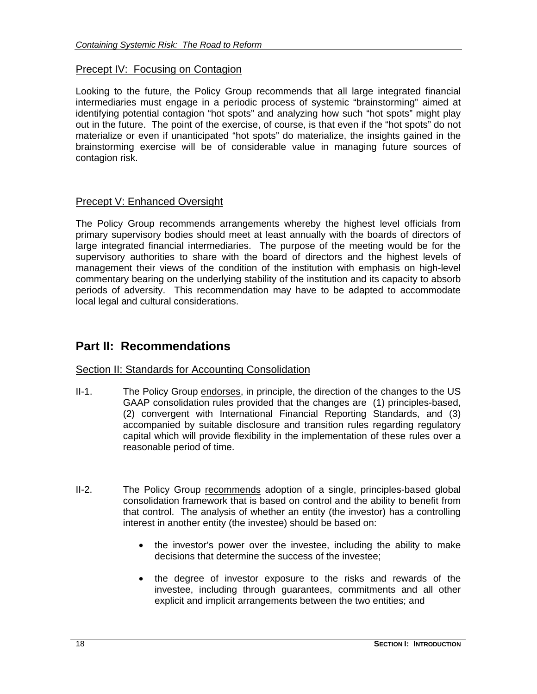#### Precept IV: Focusing on Contagion

Looking to the future, the Policy Group recommends that all large integrated financial intermediaries must engage in a periodic process of systemic "brainstorming" aimed at identifying potential contagion "hot spots" and analyzing how such "hot spots" might play out in the future. The point of the exercise, of course, is that even if the "hot spots" do not materialize or even if unanticipated "hot spots" do materialize, the insights gained in the brainstorming exercise will be of considerable value in managing future sources of contagion risk.

#### Precept V: Enhanced Oversight

The Policy Group recommends arrangements whereby the highest level officials from primary supervisory bodies should meet at least annually with the boards of directors of large integrated financial intermediaries. The purpose of the meeting would be for the supervisory authorities to share with the board of directors and the highest levels of management their views of the condition of the institution with emphasis on high-level commentary bearing on the underlying stability of the institution and its capacity to absorb periods of adversity. This recommendation may have to be adapted to accommodate local legal and cultural considerations.

## **Part II: Recommendations**

#### Section II: Standards for Accounting Consolidation

- II-1. The Policy Group endorses, in principle, the direction of the changes to the US GAAP consolidation rules provided that the changes are (1) principles-based, (2) convergent with International Financial Reporting Standards, and (3) accompanied by suitable disclosure and transition rules regarding regulatory capital which will provide flexibility in the implementation of these rules over a reasonable period of time.
- II-2. The Policy Group recommends adoption of a single, principles-based global consolidation framework that is based on control and the ability to benefit from that control. The analysis of whether an entity (the investor) has a controlling interest in another entity (the investee) should be based on:
	- the investor's power over the investee, including the ability to make decisions that determine the success of the investee;
	- the degree of investor exposure to the risks and rewards of the investee, including through guarantees, commitments and all other explicit and implicit arrangements between the two entities; and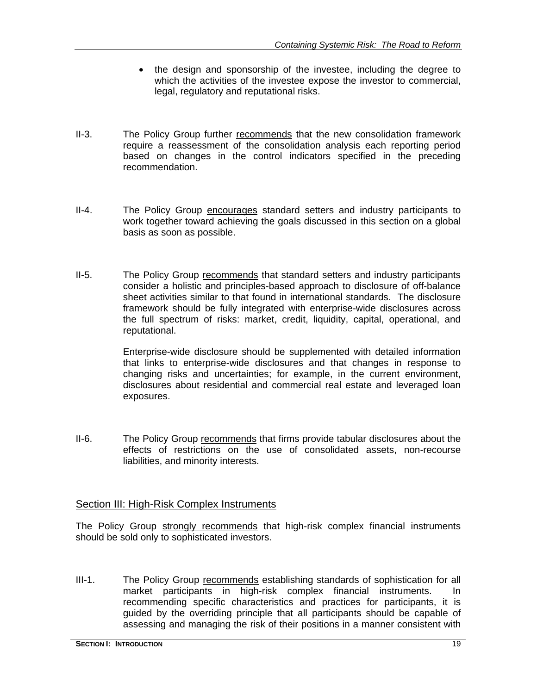- the design and sponsorship of the investee, including the degree to which the activities of the investee expose the investor to commercial, legal, regulatory and reputational risks.
- II-3. The Policy Group further recommends that the new consolidation framework require a reassessment of the consolidation analysis each reporting period based on changes in the control indicators specified in the preceding recommendation.
- II-4. The Policy Group encourages standard setters and industry participants to work together toward achieving the goals discussed in this section on a global basis as soon as possible.
- II-5. The Policy Group recommends that standard setters and industry participants consider a holistic and principles-based approach to disclosure of off-balance sheet activities similar to that found in international standards. The disclosure framework should be fully integrated with enterprise-wide disclosures across the full spectrum of risks: market, credit, liquidity, capital, operational, and reputational.

Enterprise-wide disclosure should be supplemented with detailed information that links to enterprise-wide disclosures and that changes in response to changing risks and uncertainties; for example, in the current environment, disclosures about residential and commercial real estate and leveraged loan exposures.

II-6. The Policy Group recommends that firms provide tabular disclosures about the effects of restrictions on the use of consolidated assets, non-recourse liabilities, and minority interests.

#### Section III: High-Risk Complex Instruments

The Policy Group strongly recommends that high-risk complex financial instruments should be sold only to sophisticated investors.

III-1. The Policy Group recommends establishing standards of sophistication for all market participants in high-risk complex financial instruments. In recommending specific characteristics and practices for participants, it is guided by the overriding principle that all participants should be capable of assessing and managing the risk of their positions in a manner consistent with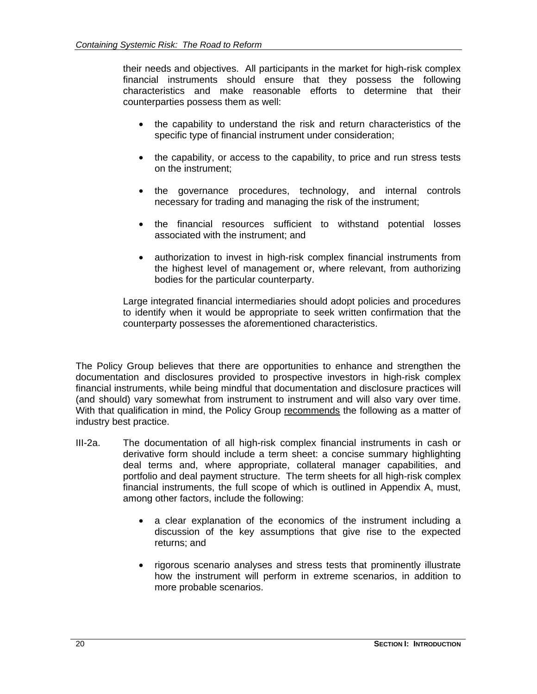their needs and objectives. All participants in the market for high-risk complex financial instruments should ensure that they possess the following characteristics and make reasonable efforts to determine that their counterparties possess them as well:

- the capability to understand the risk and return characteristics of the specific type of financial instrument under consideration;
- the capability, or access to the capability, to price and run stress tests on the instrument;
- the governance procedures, technology, and internal controls necessary for trading and managing the risk of the instrument;
- the financial resources sufficient to withstand potential losses associated with the instrument; and
- authorization to invest in high-risk complex financial instruments from the highest level of management or, where relevant, from authorizing bodies for the particular counterparty.

Large integrated financial intermediaries should adopt policies and procedures to identify when it would be appropriate to seek written confirmation that the counterparty possesses the aforementioned characteristics.

The Policy Group believes that there are opportunities to enhance and strengthen the documentation and disclosures provided to prospective investors in high-risk complex financial instruments, while being mindful that documentation and disclosure practices will (and should) vary somewhat from instrument to instrument and will also vary over time. With that qualification in mind, the Policy Group recommends the following as a matter of industry best practice.

- III-2a. The documentation of all high-risk complex financial instruments in cash or derivative form should include a term sheet: a concise summary highlighting deal terms and, where appropriate, collateral manager capabilities, and portfolio and deal payment structure. The term sheets for all high-risk complex financial instruments, the full scope of which is outlined in Appendix A, must, among other factors, include the following:
	- a clear explanation of the economics of the instrument including a discussion of the key assumptions that give rise to the expected returns; and
	- rigorous scenario analyses and stress tests that prominently illustrate how the instrument will perform in extreme scenarios, in addition to more probable scenarios.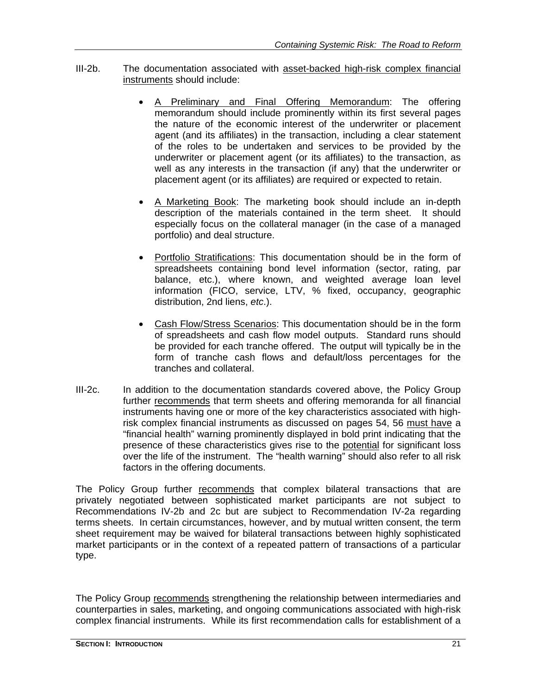- III-2b. The documentation associated with asset-backed high-risk complex financial instruments should include:
	- A Preliminary and Final Offering Memorandum: The offering memorandum should include prominently within its first several pages the nature of the economic interest of the underwriter or placement agent (and its affiliates) in the transaction, including a clear statement of the roles to be undertaken and services to be provided by the underwriter or placement agent (or its affiliates) to the transaction, as well as any interests in the transaction (if any) that the underwriter or placement agent (or its affiliates) are required or expected to retain.
	- A Marketing Book: The marketing book should include an in-depth description of the materials contained in the term sheet. It should especially focus on the collateral manager (in the case of a managed portfolio) and deal structure.
	- Portfolio Stratifications: This documentation should be in the form of spreadsheets containing bond level information (sector, rating, par balance, etc.), where known, and weighted average loan level information (FICO, service, LTV, % fixed, occupancy, geographic distribution, 2nd liens, *etc*.).
	- Cash Flow/Stress Scenarios: This documentation should be in the form of spreadsheets and cash flow model outputs. Standard runs should be provided for each tranche offered. The output will typically be in the form of tranche cash flows and default/loss percentages for the tranches and collateral.
- III-2c. In addition to the documentation standards covered above, the Policy Group further recommends that term sheets and offering memoranda for all financial instruments having one or more of the key characteristics associated with highrisk complex financial instruments as discussed on pages 54, 56 must have a "financial health" warning prominently displayed in bold print indicating that the presence of these characteristics gives rise to the potential for significant loss over the life of the instrument. The "health warning" should also refer to all risk factors in the offering documents.

The Policy Group further recommends that complex bilateral transactions that are privately negotiated between sophisticated market participants are not subject to Recommendations IV-2b and 2c but are subject to Recommendation IV-2a regarding terms sheets. In certain circumstances, however, and by mutual written consent, the term sheet requirement may be waived for bilateral transactions between highly sophisticated market participants or in the context of a repeated pattern of transactions of a particular type.

The Policy Group recommends strengthening the relationship between intermediaries and counterparties in sales, marketing, and ongoing communications associated with high-risk complex financial instruments. While its first recommendation calls for establishment of a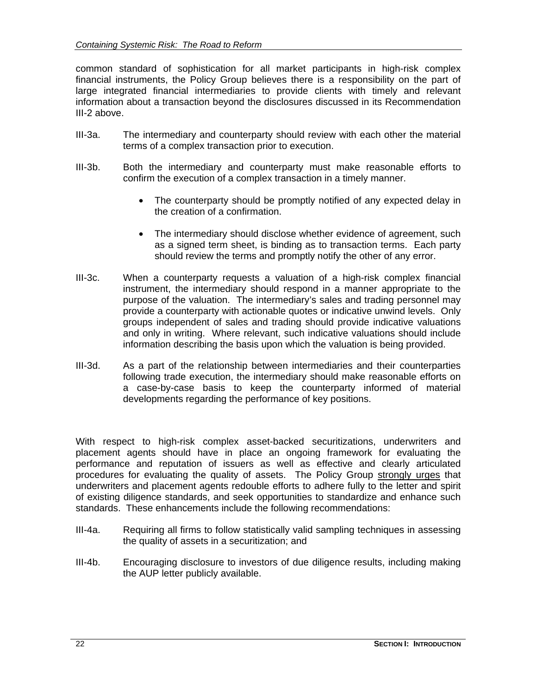common standard of sophistication for all market participants in high-risk complex financial instruments, the Policy Group believes there is a responsibility on the part of large integrated financial intermediaries to provide clients with timely and relevant information about a transaction beyond the disclosures discussed in its Recommendation III-2 above.

- III-3a. The intermediary and counterparty should review with each other the material terms of a complex transaction prior to execution.
- III-3b. Both the intermediary and counterparty must make reasonable efforts to confirm the execution of a complex transaction in a timely manner.
	- The counterparty should be promptly notified of any expected delay in the creation of a confirmation.
	- The intermediary should disclose whether evidence of agreement, such as a signed term sheet, is binding as to transaction terms. Each party should review the terms and promptly notify the other of any error.
- III-3c. When a counterparty requests a valuation of a high-risk complex financial instrument, the intermediary should respond in a manner appropriate to the purpose of the valuation. The intermediary's sales and trading personnel may provide a counterparty with actionable quotes or indicative unwind levels. Only groups independent of sales and trading should provide indicative valuations and only in writing. Where relevant, such indicative valuations should include information describing the basis upon which the valuation is being provided.
- III-3d. As a part of the relationship between intermediaries and their counterparties following trade execution, the intermediary should make reasonable efforts on a case-by-case basis to keep the counterparty informed of material developments regarding the performance of key positions.

With respect to high-risk complex asset-backed securitizations, underwriters and placement agents should have in place an ongoing framework for evaluating the performance and reputation of issuers as well as effective and clearly articulated procedures for evaluating the quality of assets. The Policy Group strongly urges that underwriters and placement agents redouble efforts to adhere fully to the letter and spirit of existing diligence standards, and seek opportunities to standardize and enhance such standards. These enhancements include the following recommendations:

- III-4a. Requiring all firms to follow statistically valid sampling techniques in assessing the quality of assets in a securitization; and
- III-4b. Encouraging disclosure to investors of due diligence results, including making the AUP letter publicly available.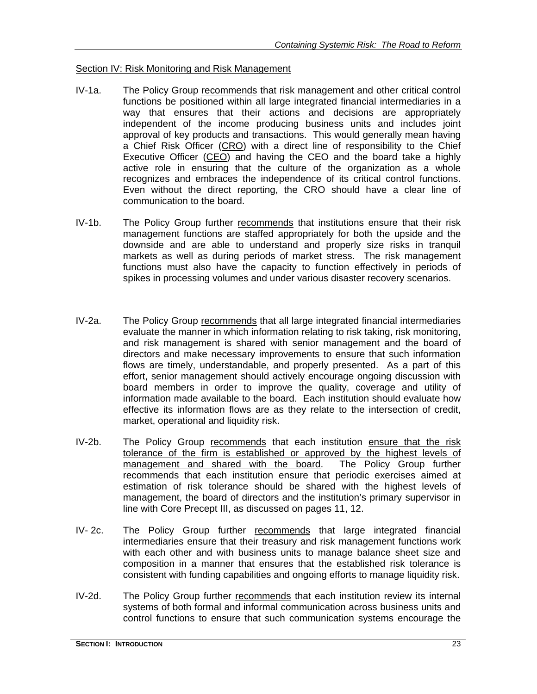#### Section IV: Risk Monitoring and Risk Management

- IV-1a. The Policy Group recommends that risk management and other critical control functions be positioned within all large integrated financial intermediaries in a way that ensures that their actions and decisions are appropriately independent of the income producing business units and includes joint approval of key products and transactions. This would generally mean having a Chief Risk Officer (CRO) with a direct line of responsibility to the Chief Executive Officer (CEO) and having the CEO and the board take a highly active role in ensuring that the culture of the organization as a whole recognizes and embraces the independence of its critical control functions. Even without the direct reporting, the CRO should have a clear line of communication to the board.
- IV-1b. The Policy Group further recommends that institutions ensure that their risk management functions are staffed appropriately for both the upside and the downside and are able to understand and properly size risks in tranquil markets as well as during periods of market stress. The risk management functions must also have the capacity to function effectively in periods of spikes in processing volumes and under various disaster recovery scenarios.
- IV-2a. The Policy Group recommends that all large integrated financial intermediaries evaluate the manner in which information relating to risk taking, risk monitoring, and risk management is shared with senior management and the board of directors and make necessary improvements to ensure that such information flows are timely, understandable, and properly presented. As a part of this effort, senior management should actively encourage ongoing discussion with board members in order to improve the quality, coverage and utility of information made available to the board. Each institution should evaluate how effective its information flows are as they relate to the intersection of credit, market, operational and liquidity risk.
- IV-2b. The Policy Group recommends that each institution ensure that the risk tolerance of the firm is established or approved by the highest levels of management and shared with the board. The Policy Group further recommends that each institution ensure that periodic exercises aimed at estimation of risk tolerance should be shared with the highest levels of management, the board of directors and the institution's primary supervisor in line with Core Precept III, as discussed on pages 11, 12.
- IV-2c. The Policy Group further recommends that large integrated financial intermediaries ensure that their treasury and risk management functions work with each other and with business units to manage balance sheet size and composition in a manner that ensures that the established risk tolerance is consistent with funding capabilities and ongoing efforts to manage liquidity risk.
- IV-2d. The Policy Group further recommends that each institution review its internal systems of both formal and informal communication across business units and control functions to ensure that such communication systems encourage the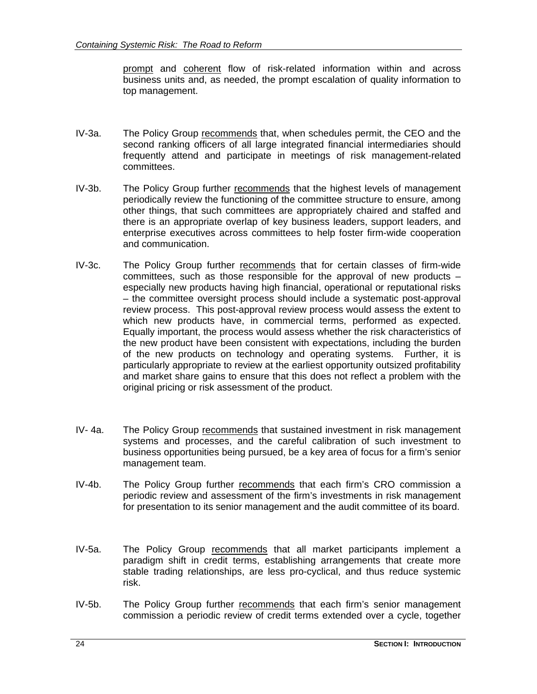prompt and coherent flow of risk-related information within and across business units and, as needed, the prompt escalation of quality information to top management.

- IV-3a. The Policy Group recommends that, when schedules permit, the CEO and the second ranking officers of all large integrated financial intermediaries should frequently attend and participate in meetings of risk management-related committees.
- IV-3b. The Policy Group further recommends that the highest levels of management periodically review the functioning of the committee structure to ensure, among other things, that such committees are appropriately chaired and staffed and there is an appropriate overlap of key business leaders, support leaders, and enterprise executives across committees to help foster firm-wide cooperation and communication.
- IV-3c. The Policy Group further recommends that for certain classes of firm-wide committees, such as those responsible for the approval of new products – especially new products having high financial, operational or reputational risks – the committee oversight process should include a systematic post-approval review process. This post-approval review process would assess the extent to which new products have, in commercial terms, performed as expected. Equally important, the process would assess whether the risk characteristics of the new product have been consistent with expectations, including the burden of the new products on technology and operating systems. Further, it is particularly appropriate to review at the earliest opportunity outsized profitability and market share gains to ensure that this does not reflect a problem with the original pricing or risk assessment of the product.
- IV- 4a. The Policy Group recommends that sustained investment in risk management systems and processes, and the careful calibration of such investment to business opportunities being pursued, be a key area of focus for a firm's senior management team.
- IV-4b. The Policy Group further recommends that each firm's CRO commission a periodic review and assessment of the firm's investments in risk management for presentation to its senior management and the audit committee of its board.
- IV-5a. The Policy Group recommends that all market participants implement a paradigm shift in credit terms, establishing arrangements that create more stable trading relationships, are less pro-cyclical, and thus reduce systemic risk.
- IV-5b. The Policy Group further recommends that each firm's senior management commission a periodic review of credit terms extended over a cycle, together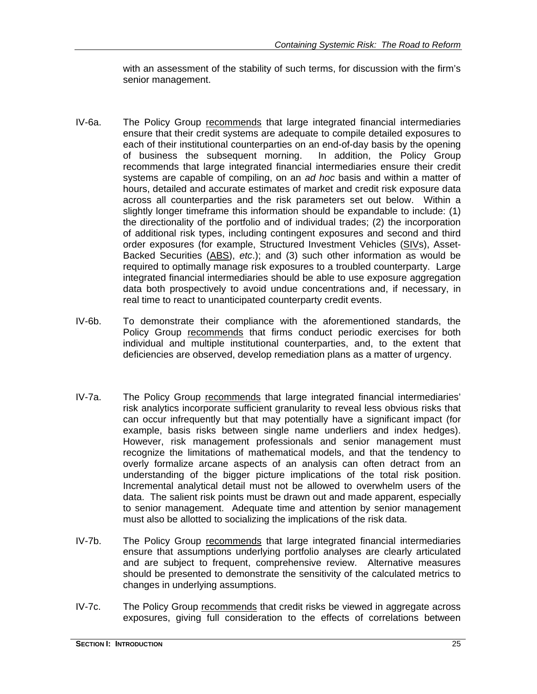with an assessment of the stability of such terms, for discussion with the firm's senior management.

- IV-6a. The Policy Group recommends that large integrated financial intermediaries ensure that their credit systems are adequate to compile detailed exposures to each of their institutional counterparties on an end-of-day basis by the opening of business the subsequent morning. In addition, the Policy Group recommends that large integrated financial intermediaries ensure their credit systems are capable of compiling, on an *ad hoc* basis and within a matter of hours, detailed and accurate estimates of market and credit risk exposure data across all counterparties and the risk parameters set out below. Within a slightly longer timeframe this information should be expandable to include: (1) the directionality of the portfolio and of individual trades; (2) the incorporation of additional risk types, including contingent exposures and second and third order exposures (for example, Structured Investment Vehicles (SIVs), Asset-Backed Securities (ABS), *etc*.); and (3) such other information as would be required to optimally manage risk exposures to a troubled counterparty. Large integrated financial intermediaries should be able to use exposure aggregation data both prospectively to avoid undue concentrations and, if necessary, in real time to react to unanticipated counterparty credit events.
- IV-6b. To demonstrate their compliance with the aforementioned standards, the Policy Group recommends that firms conduct periodic exercises for both individual and multiple institutional counterparties, and, to the extent that deficiencies are observed, develop remediation plans as a matter of urgency.
- IV-7a. The Policy Group recommends that large integrated financial intermediaries' risk analytics incorporate sufficient granularity to reveal less obvious risks that can occur infrequently but that may potentially have a significant impact (for example, basis risks between single name underliers and index hedges). However, risk management professionals and senior management must recognize the limitations of mathematical models, and that the tendency to overly formalize arcane aspects of an analysis can often detract from an understanding of the bigger picture implications of the total risk position. Incremental analytical detail must not be allowed to overwhelm users of the data. The salient risk points must be drawn out and made apparent, especially to senior management. Adequate time and attention by senior management must also be allotted to socializing the implications of the risk data.
- IV-7b. The Policy Group recommends that large integrated financial intermediaries ensure that assumptions underlying portfolio analyses are clearly articulated and are subject to frequent, comprehensive review. Alternative measures should be presented to demonstrate the sensitivity of the calculated metrics to changes in underlying assumptions.
- IV-7c. The Policy Group recommends that credit risks be viewed in aggregate across exposures, giving full consideration to the effects of correlations between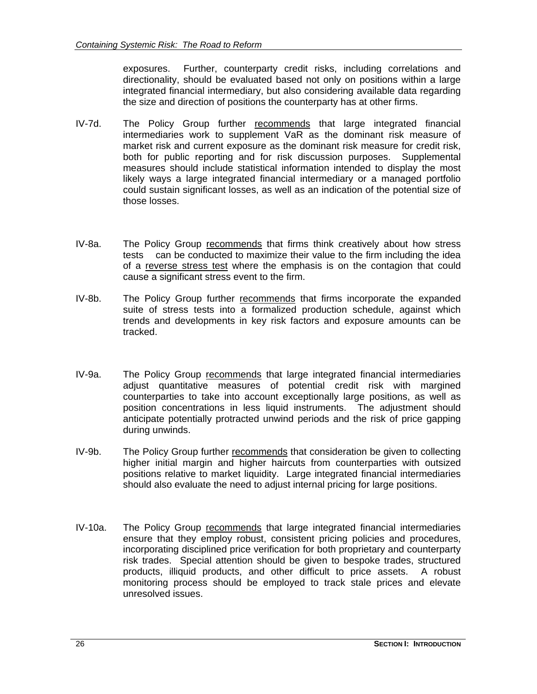exposures. Further, counterparty credit risks, including correlations and directionality, should be evaluated based not only on positions within a large integrated financial intermediary, but also considering available data regarding the size and direction of positions the counterparty has at other firms.

- IV-7d. The Policy Group further recommends that large integrated financial intermediaries work to supplement VaR as the dominant risk measure of market risk and current exposure as the dominant risk measure for credit risk, both for public reporting and for risk discussion purposes. Supplemental measures should include statistical information intended to display the most likely ways a large integrated financial intermediary or a managed portfolio could sustain significant losses, as well as an indication of the potential size of those losses.
- IV-8a. The Policy Group recommends that firms think creatively about how stress tests can be conducted to maximize their value to the firm including the idea of a reverse stress test where the emphasis is on the contagion that could cause a significant stress event to the firm.
- IV-8b. The Policy Group further recommends that firms incorporate the expanded suite of stress tests into a formalized production schedule, against which trends and developments in key risk factors and exposure amounts can be tracked.
- IV-9a. The Policy Group recommends that large integrated financial intermediaries adjust quantitative measures of potential credit risk with margined counterparties to take into account exceptionally large positions, as well as position concentrations in less liquid instruments. The adjustment should anticipate potentially protracted unwind periods and the risk of price gapping during unwinds.
- IV-9b. The Policy Group further recommends that consideration be given to collecting higher initial margin and higher haircuts from counterparties with outsized positions relative to market liquidity. Large integrated financial intermediaries should also evaluate the need to adjust internal pricing for large positions.
- IV-10a. The Policy Group recommends that large integrated financial intermediaries ensure that they employ robust, consistent pricing policies and procedures, incorporating disciplined price verification for both proprietary and counterparty risk trades. Special attention should be given to bespoke trades, structured products, illiquid products, and other difficult to price assets. A robust monitoring process should be employed to track stale prices and elevate unresolved issues.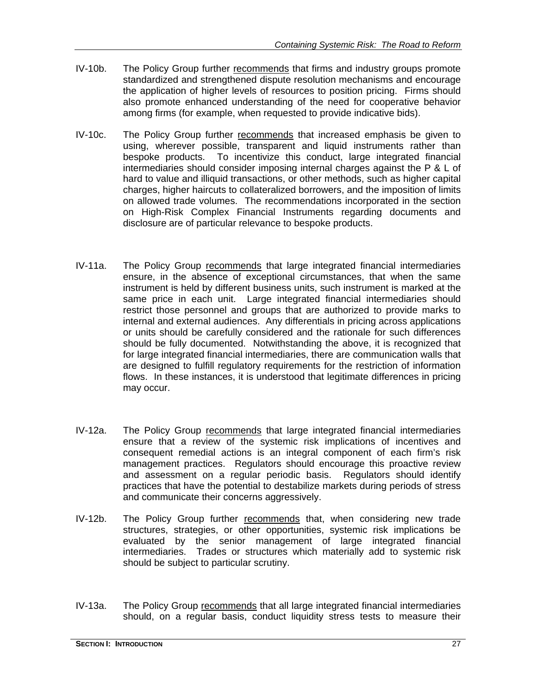- IV-10b. The Policy Group further recommends that firms and industry groups promote standardized and strengthened dispute resolution mechanisms and encourage the application of higher levels of resources to position pricing. Firms should also promote enhanced understanding of the need for cooperative behavior among firms (for example, when requested to provide indicative bids).
- IV-10c. The Policy Group further recommends that increased emphasis be given to using, wherever possible, transparent and liquid instruments rather than bespoke products. To incentivize this conduct, large integrated financial intermediaries should consider imposing internal charges against the P & L of hard to value and illiquid transactions, or other methods, such as higher capital charges, higher haircuts to collateralized borrowers, and the imposition of limits on allowed trade volumes. The recommendations incorporated in the section on High-Risk Complex Financial Instruments regarding documents and disclosure are of particular relevance to bespoke products.
- IV-11a. The Policy Group recommends that large integrated financial intermediaries ensure, in the absence of exceptional circumstances, that when the same instrument is held by different business units, such instrument is marked at the same price in each unit. Large integrated financial intermediaries should restrict those personnel and groups that are authorized to provide marks to internal and external audiences. Any differentials in pricing across applications or units should be carefully considered and the rationale for such differences should be fully documented. Notwithstanding the above, it is recognized that for large integrated financial intermediaries, there are communication walls that are designed to fulfill regulatory requirements for the restriction of information flows. In these instances, it is understood that legitimate differences in pricing may occur.
- IV-12a. The Policy Group recommends that large integrated financial intermediaries ensure that a review of the systemic risk implications of incentives and consequent remedial actions is an integral component of each firm's risk management practices. Regulators should encourage this proactive review and assessment on a regular periodic basis. Regulators should identify practices that have the potential to destabilize markets during periods of stress and communicate their concerns aggressively.
- IV-12b. The Policy Group further recommends that, when considering new trade structures, strategies, or other opportunities, systemic risk implications be evaluated by the senior management of large integrated financial intermediaries. Trades or structures which materially add to systemic risk should be subject to particular scrutiny.
- IV-13a. The Policy Group recommends that all large integrated financial intermediaries should, on a regular basis, conduct liquidity stress tests to measure their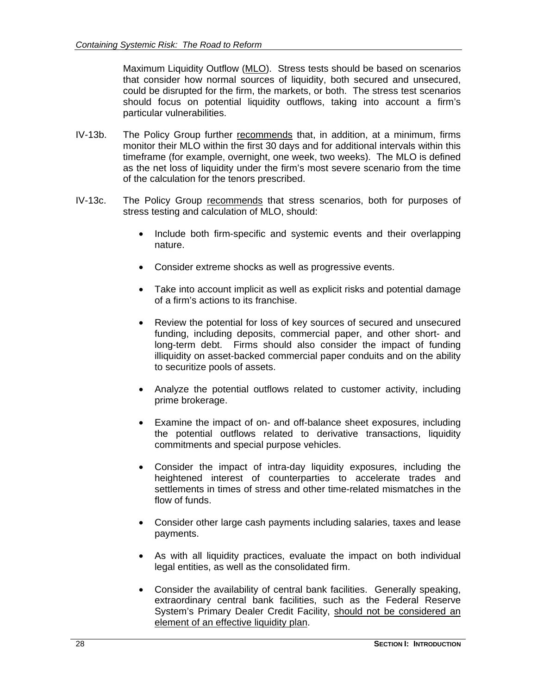Maximum Liquidity Outflow (MLO). Stress tests should be based on scenarios that consider how normal sources of liquidity, both secured and unsecured, could be disrupted for the firm, the markets, or both. The stress test scenarios should focus on potential liquidity outflows, taking into account a firm's particular vulnerabilities.

- IV-13b. The Policy Group further recommends that, in addition, at a minimum, firms monitor their MLO within the first 30 days and for additional intervals within this timeframe (for example, overnight, one week, two weeks). The MLO is defined as the net loss of liquidity under the firm's most severe scenario from the time of the calculation for the tenors prescribed.
- IV-13c. The Policy Group recommends that stress scenarios, both for purposes of stress testing and calculation of MLO, should:
	- Include both firm-specific and systemic events and their overlapping nature.
	- Consider extreme shocks as well as progressive events.
	- Take into account implicit as well as explicit risks and potential damage of a firm's actions to its franchise.
	- Review the potential for loss of key sources of secured and unsecured funding, including deposits, commercial paper, and other short- and long-term debt. Firms should also consider the impact of funding illiquidity on asset-backed commercial paper conduits and on the ability to securitize pools of assets.
	- Analyze the potential outflows related to customer activity, including prime brokerage.
	- Examine the impact of on- and off-balance sheet exposures, including the potential outflows related to derivative transactions, liquidity commitments and special purpose vehicles.
	- Consider the impact of intra-day liquidity exposures, including the heightened interest of counterparties to accelerate trades and settlements in times of stress and other time-related mismatches in the flow of funds.
	- Consider other large cash payments including salaries, taxes and lease payments.
	- As with all liquidity practices, evaluate the impact on both individual legal entities, as well as the consolidated firm.
	- Consider the availability of central bank facilities. Generally speaking, extraordinary central bank facilities, such as the Federal Reserve System's Primary Dealer Credit Facility, should not be considered an element of an effective liquidity plan.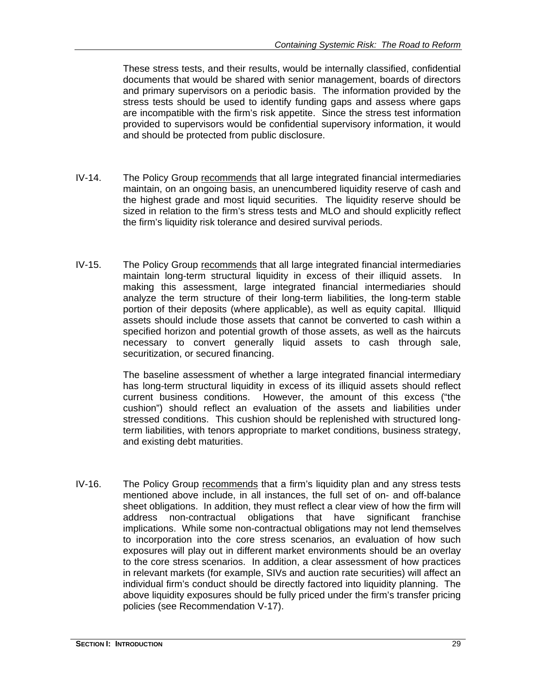These stress tests, and their results, would be internally classified, confidential documents that would be shared with senior management, boards of directors and primary supervisors on a periodic basis. The information provided by the stress tests should be used to identify funding gaps and assess where gaps are incompatible with the firm's risk appetite. Since the stress test information provided to supervisors would be confidential supervisory information, it would and should be protected from public disclosure.

- IV-14. The Policy Group recommends that all large integrated financial intermediaries maintain, on an ongoing basis, an unencumbered liquidity reserve of cash and the highest grade and most liquid securities. The liquidity reserve should be sized in relation to the firm's stress tests and MLO and should explicitly reflect the firm's liquidity risk tolerance and desired survival periods.
- IV-15. The Policy Group recommends that all large integrated financial intermediaries maintain long-term structural liquidity in excess of their illiquid assets. In making this assessment, large integrated financial intermediaries should analyze the term structure of their long-term liabilities, the long-term stable portion of their deposits (where applicable), as well as equity capital. Illiquid assets should include those assets that cannot be converted to cash within a specified horizon and potential growth of those assets, as well as the haircuts necessary to convert generally liquid assets to cash through sale, securitization, or secured financing.

The baseline assessment of whether a large integrated financial intermediary has long-term structural liquidity in excess of its illiquid assets should reflect current business conditions. However, the amount of this excess ("the cushion") should reflect an evaluation of the assets and liabilities under stressed conditions. This cushion should be replenished with structured longterm liabilities, with tenors appropriate to market conditions, business strategy, and existing debt maturities.

IV-16. The Policy Group recommends that a firm's liquidity plan and any stress tests mentioned above include, in all instances, the full set of on- and off-balance sheet obligations. In addition, they must reflect a clear view of how the firm will address non-contractual obligations that have significant franchise implications. While some non-contractual obligations may not lend themselves to incorporation into the core stress scenarios, an evaluation of how such exposures will play out in different market environments should be an overlay to the core stress scenarios. In addition, a clear assessment of how practices in relevant markets (for example, SIVs and auction rate securities) will affect an individual firm's conduct should be directly factored into liquidity planning. The above liquidity exposures should be fully priced under the firm's transfer pricing policies (see Recommendation V-17).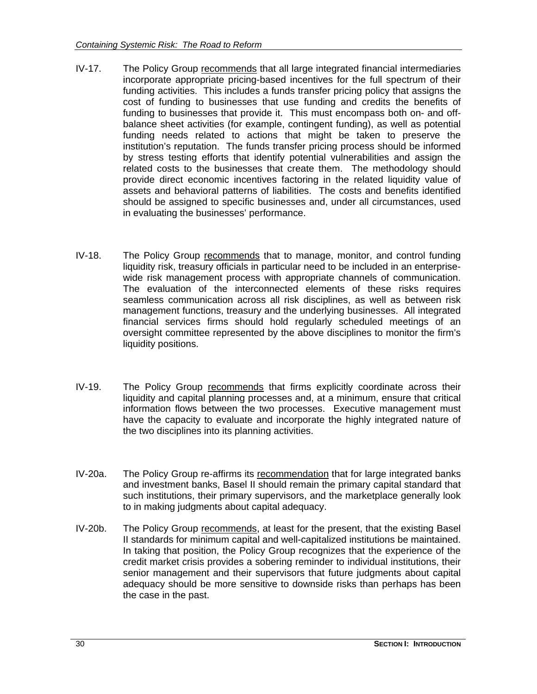- IV-17. The Policy Group recommends that all large integrated financial intermediaries incorporate appropriate pricing-based incentives for the full spectrum of their funding activities. This includes a funds transfer pricing policy that assigns the cost of funding to businesses that use funding and credits the benefits of funding to businesses that provide it. This must encompass both on- and offbalance sheet activities (for example, contingent funding), as well as potential funding needs related to actions that might be taken to preserve the institution's reputation. The funds transfer pricing process should be informed by stress testing efforts that identify potential vulnerabilities and assign the related costs to the businesses that create them. The methodology should provide direct economic incentives factoring in the related liquidity value of assets and behavioral patterns of liabilities. The costs and benefits identified should be assigned to specific businesses and, under all circumstances, used in evaluating the businesses' performance.
- IV-18. The Policy Group recommends that to manage, monitor, and control funding liquidity risk, treasury officials in particular need to be included in an enterprisewide risk management process with appropriate channels of communication. The evaluation of the interconnected elements of these risks requires seamless communication across all risk disciplines, as well as between risk management functions, treasury and the underlying businesses. All integrated financial services firms should hold regularly scheduled meetings of an oversight committee represented by the above disciplines to monitor the firm's liquidity positions.
- IV-19. The Policy Group recommends that firms explicitly coordinate across their liquidity and capital planning processes and, at a minimum, ensure that critical information flows between the two processes. Executive management must have the capacity to evaluate and incorporate the highly integrated nature of the two disciplines into its planning activities.
- IV-20a. The Policy Group re-affirms its recommendation that for large integrated banks and investment banks, Basel II should remain the primary capital standard that such institutions, their primary supervisors, and the marketplace generally look to in making judgments about capital adequacy.
- IV-20b. The Policy Group recommends, at least for the present, that the existing Basel II standards for minimum capital and well-capitalized institutions be maintained. In taking that position, the Policy Group recognizes that the experience of the credit market crisis provides a sobering reminder to individual institutions, their senior management and their supervisors that future judgments about capital adequacy should be more sensitive to downside risks than perhaps has been the case in the past.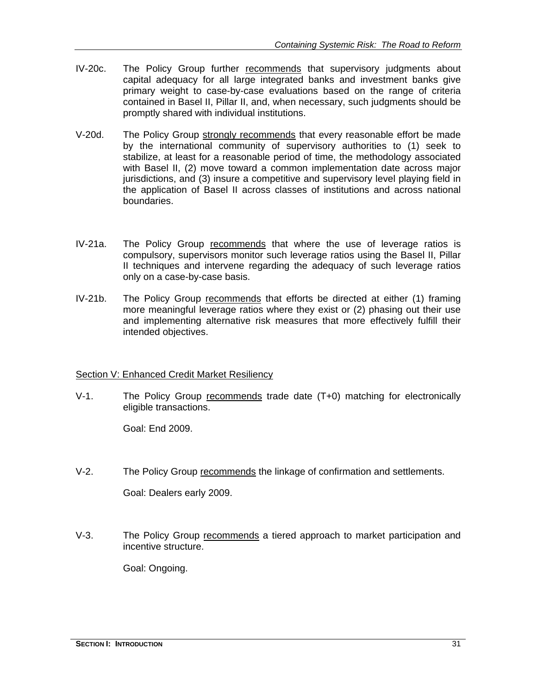- IV-20c. The Policy Group further recommends that supervisory judgments about capital adequacy for all large integrated banks and investment banks give primary weight to case-by-case evaluations based on the range of criteria contained in Basel II, Pillar II, and, when necessary, such judgments should be promptly shared with individual institutions.
- V-20d. The Policy Group strongly recommends that every reasonable effort be made by the international community of supervisory authorities to (1) seek to stabilize, at least for a reasonable period of time, the methodology associated with Basel II, (2) move toward a common implementation date across major jurisdictions, and (3) insure a competitive and supervisory level playing field in the application of Basel II across classes of institutions and across national boundaries.
- IV-21a. The Policy Group recommends that where the use of leverage ratios is compulsory, supervisors monitor such leverage ratios using the Basel II, Pillar II techniques and intervene regarding the adequacy of such leverage ratios only on a case-by-case basis.
- IV-21b. The Policy Group recommends that efforts be directed at either (1) framing more meaningful leverage ratios where they exist or (2) phasing out their use and implementing alternative risk measures that more effectively fulfill their intended objectives.

#### Section V: Enhanced Credit Market Resiliency

V-1. The Policy Group recommends trade date (T+0) matching for electronically eligible transactions.

Goal: End 2009.

V-2. The Policy Group recommends the linkage of confirmation and settlements.

Goal: Dealers early 2009.

V-3. The Policy Group recommends a tiered approach to market participation and incentive structure.

Goal: Ongoing.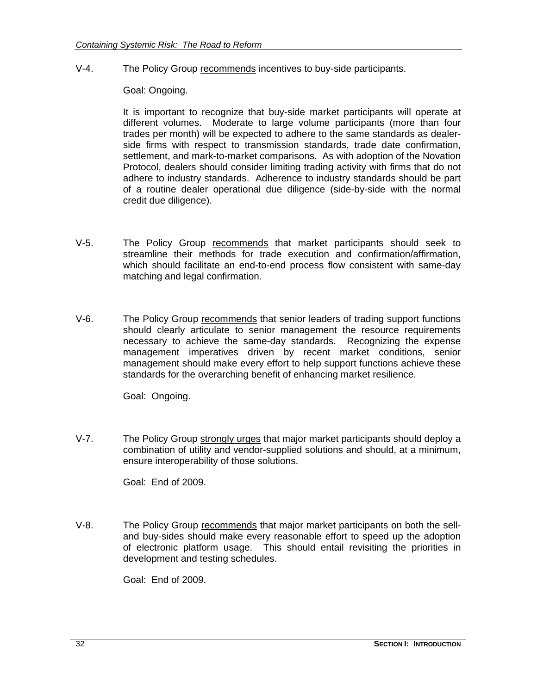V-4. The Policy Group recommends incentives to buy-side participants.

Goal: Ongoing.

It is important to recognize that buy-side market participants will operate at different volumes. Moderate to large volume participants (more than four trades per month) will be expected to adhere to the same standards as dealerside firms with respect to transmission standards, trade date confirmation, settlement, and mark-to-market comparisons. As with adoption of the Novation Protocol, dealers should consider limiting trading activity with firms that do not adhere to industry standards. Adherence to industry standards should be part of a routine dealer operational due diligence (side-by-side with the normal credit due diligence).

- V-5. The Policy Group recommends that market participants should seek to streamline their methods for trade execution and confirmation/affirmation, which should facilitate an end-to-end process flow consistent with same-day matching and legal confirmation.
- V-6. The Policy Group recommends that senior leaders of trading support functions should clearly articulate to senior management the resource requirements necessary to achieve the same-day standards. Recognizing the expense management imperatives driven by recent market conditions, senior management should make every effort to help support functions achieve these standards for the overarching benefit of enhancing market resilience.

Goal: Ongoing.

V-7. The Policy Group strongly urges that major market participants should deploy a combination of utility and vendor-supplied solutions and should, at a minimum, ensure interoperability of those solutions.

Goal: End of 2009.

V-8. The Policy Group recommends that major market participants on both the selland buy-sides should make every reasonable effort to speed up the adoption of electronic platform usage. This should entail revisiting the priorities in development and testing schedules.

Goal: End of 2009.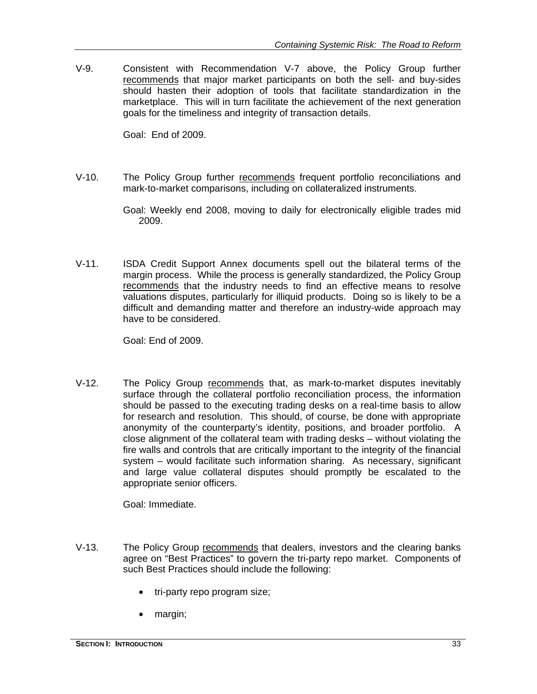V-9. Consistent with Recommendation V-7 above, the Policy Group further recommends that major market participants on both the sell- and buy-sides should hasten their adoption of tools that facilitate standardization in the marketplace. This will in turn facilitate the achievement of the next generation goals for the timeliness and integrity of transaction details.

Goal: End of 2009.

V-10. The Policy Group further recommends frequent portfolio reconciliations and mark-to-market comparisons, including on collateralized instruments.

> Goal: Weekly end 2008, moving to daily for electronically eligible trades mid 2009.

V-11. ISDA Credit Support Annex documents spell out the bilateral terms of the margin process. While the process is generally standardized, the Policy Group recommends that the industry needs to find an effective means to resolve valuations disputes, particularly for illiquid products. Doing so is likely to be a difficult and demanding matter and therefore an industry-wide approach may have to be considered.

Goal: End of 2009.

V-12. The Policy Group recommends that, as mark-to-market disputes inevitably surface through the collateral portfolio reconciliation process, the information should be passed to the executing trading desks on a real-time basis to allow for research and resolution. This should, of course, be done with appropriate anonymity of the counterparty's identity, positions, and broader portfolio. A close alignment of the collateral team with trading desks – without violating the fire walls and controls that are critically important to the integrity of the financial system – would facilitate such information sharing. As necessary, significant and large value collateral disputes should promptly be escalated to the appropriate senior officers.

Goal: Immediate.

- V-13. The Policy Group recommends that dealers, investors and the clearing banks agree on "Best Practices" to govern the tri-party repo market. Components of such Best Practices should include the following:
	- tri-party repo program size;
	- margin;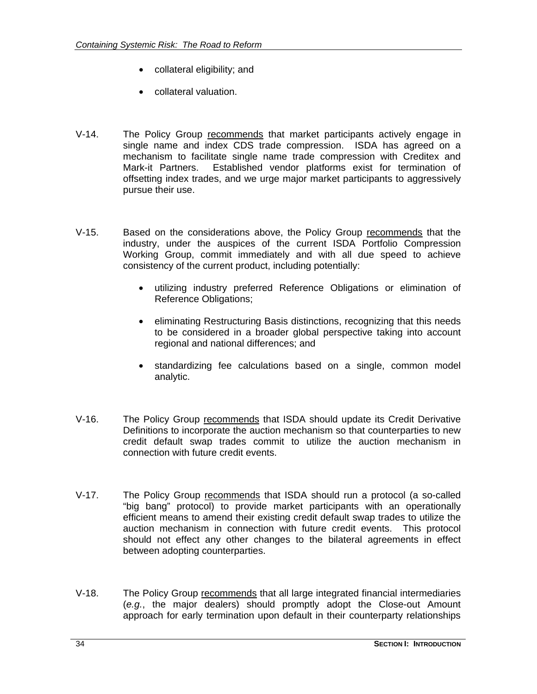- collateral eligibility; and
- collateral valuation.
- V-14. The Policy Group recommends that market participants actively engage in single name and index CDS trade compression. ISDA has agreed on a mechanism to facilitate single name trade compression with Creditex and Mark-it Partners. Established vendor platforms exist for termination of offsetting index trades, and we urge major market participants to aggressively pursue their use.
- V-15. Based on the considerations above, the Policy Group recommends that the industry, under the auspices of the current ISDA Portfolio Compression Working Group, commit immediately and with all due speed to achieve consistency of the current product, including potentially:
	- utilizing industry preferred Reference Obligations or elimination of Reference Obligations;
	- eliminating Restructuring Basis distinctions, recognizing that this needs to be considered in a broader global perspective taking into account regional and national differences; and
	- standardizing fee calculations based on a single, common model analytic.
- V-16. The Policy Group recommends that ISDA should update its Credit Derivative Definitions to incorporate the auction mechanism so that counterparties to new credit default swap trades commit to utilize the auction mechanism in connection with future credit events.
- V-17. The Policy Group recommends that ISDA should run a protocol (a so-called "big bang" protocol) to provide market participants with an operationally efficient means to amend their existing credit default swap trades to utilize the auction mechanism in connection with future credit events. This protocol should not effect any other changes to the bilateral agreements in effect between adopting counterparties.
- V-18. The Policy Group recommends that all large integrated financial intermediaries (*e.g.*, the major dealers) should promptly adopt the Close-out Amount approach for early termination upon default in their counterparty relationships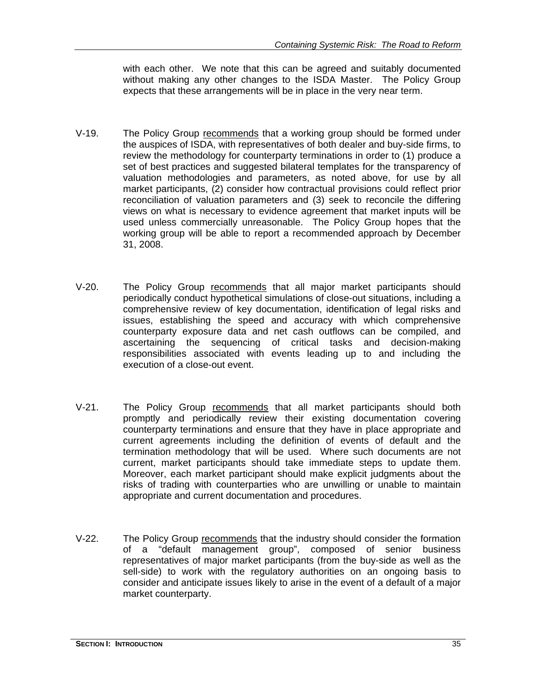with each other. We note that this can be agreed and suitably documented without making any other changes to the ISDA Master. The Policy Group expects that these arrangements will be in place in the very near term.

- V-19. The Policy Group recommends that a working group should be formed under the auspices of ISDA, with representatives of both dealer and buy-side firms, to review the methodology for counterparty terminations in order to (1) produce a set of best practices and suggested bilateral templates for the transparency of valuation methodologies and parameters, as noted above, for use by all market participants, (2) consider how contractual provisions could reflect prior reconciliation of valuation parameters and (3) seek to reconcile the differing views on what is necessary to evidence agreement that market inputs will be used unless commercially unreasonable. The Policy Group hopes that the working group will be able to report a recommended approach by December 31, 2008.
- V-20. The Policy Group recommends that all major market participants should periodically conduct hypothetical simulations of close-out situations, including a comprehensive review of key documentation, identification of legal risks and issues, establishing the speed and accuracy with which comprehensive counterparty exposure data and net cash outflows can be compiled, and ascertaining the sequencing of critical tasks and decision-making responsibilities associated with events leading up to and including the execution of a close-out event.
- V-21. The Policy Group recommends that all market participants should both promptly and periodically review their existing documentation covering counterparty terminations and ensure that they have in place appropriate and current agreements including the definition of events of default and the termination methodology that will be used. Where such documents are not current, market participants should take immediate steps to update them. Moreover, each market participant should make explicit judgments about the risks of trading with counterparties who are unwilling or unable to maintain appropriate and current documentation and procedures.
- V-22. The Policy Group recommends that the industry should consider the formation of a "default management group", composed of senior business representatives of major market participants (from the buy-side as well as the sell-side) to work with the regulatory authorities on an ongoing basis to consider and anticipate issues likely to arise in the event of a default of a major market counterparty.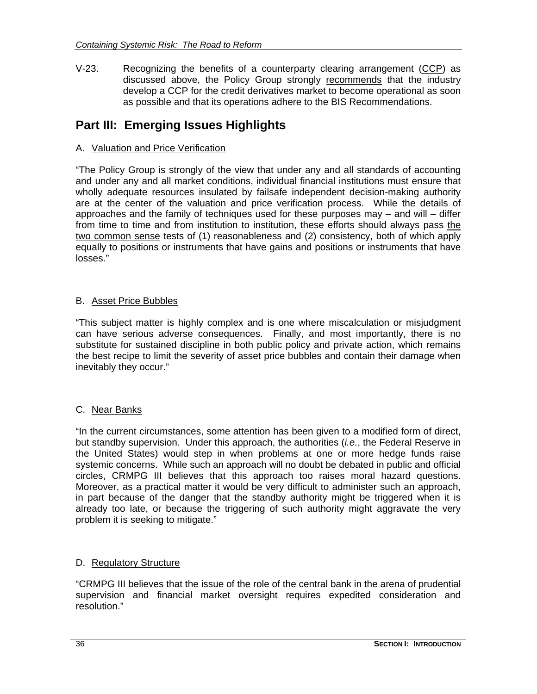V-23. Recognizing the benefits of a counterparty clearing arrangement (CCP) as discussed above, the Policy Group strongly recommends that the industry develop a CCP for the credit derivatives market to become operational as soon as possible and that its operations adhere to the BIS Recommendations.

# **Part III: Emerging Issues Highlights**

#### A. Valuation and Price Verification

"The Policy Group is strongly of the view that under any and all standards of accounting and under any and all market conditions, individual financial institutions must ensure that wholly adequate resources insulated by failsafe independent decision-making authority are at the center of the valuation and price verification process. While the details of approaches and the family of techniques used for these purposes may – and will – differ from time to time and from institution to institution, these efforts should always pass the two common sense tests of (1) reasonableness and (2) consistency, both of which apply equally to positions or instruments that have gains and positions or instruments that have losses."

#### B. Asset Price Bubbles

"This subject matter is highly complex and is one where miscalculation or misjudgment can have serious adverse consequences. Finally, and most importantly, there is no substitute for sustained discipline in both public policy and private action, which remains the best recipe to limit the severity of asset price bubbles and contain their damage when inevitably they occur."

#### C. Near Banks

"In the current circumstances, some attention has been given to a modified form of direct, but standby supervision. Under this approach, the authorities (*i.e.*, the Federal Reserve in the United States) would step in when problems at one or more hedge funds raise systemic concerns. While such an approach will no doubt be debated in public and official circles, CRMPG III believes that this approach too raises moral hazard questions. Moreover, as a practical matter it would be very difficult to administer such an approach, in part because of the danger that the standby authority might be triggered when it is already too late, or because the triggering of such authority might aggravate the very problem it is seeking to mitigate."

#### D. Regulatory Structure

"CRMPG III believes that the issue of the role of the central bank in the arena of prudential supervision and financial market oversight requires expedited consideration and resolution."